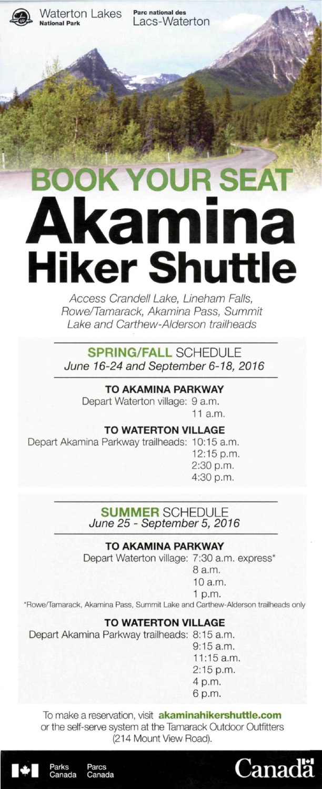

Waterton Lakes Parc national des

Lacs-Waterton

# **BOOK YOUR SEAT Akamina Hiker Shuttle**

Rowe/Tamarack, Akamina Pass, Summit Rowe/Tamarack, Akamina Pass, Summit Lake and Carthew-Alderson trailheads

**SPRING/FALL** SCHEDULE June 16-24 and September 6-18,2016

# **TO AKAMINA PARKWAY**

Depart Waterton village: 9 a.m. 11 a.m.

#### **TO WATERTON VILLAGE**

Depart Akamina Parkway trailheads: 10:15 a.m. 12:15 p.m.

2:30 p.m. 4:30 p.m.

# **SUMMER SCHEDULE** June 25 - September 5,2016

#### **TO AKAMINA PARKWAY**

Depart Waterton village: 7:30 a.m. express\*

- 8 a.m. 10 a.m.
- 1 p.m.

'Rowe/Tamarack. Akamina Pass. Summit Lake and Carthew-Alderson trailheads only

# **TO WATERTON VILLAGE**

Depart Akamina Parkway trailheads: 8:15 a.m.

9:15 a.m. 11:15a.m. 2:15 p.m. 4 p.m. 6 p.m.

To make a reservation, visit **[akaminahikershuttle.com](http://akaminahikershuttle.com)**  or the self-serve system at the Tamarack Outdoor Outfitters (214 Mount View Road).





Parcs Canada